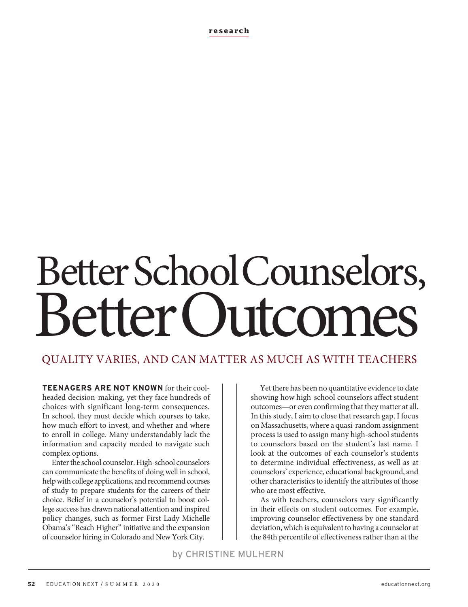**research**

# Better School Counselors, Better Cutromes

# QUALITY VARIES, AND CAN MATTER AS MUCH AS WITH TEACHERS

**TEENAGERS ARE NOT KNOWN** for their coolheaded decision-making, yet they face hundreds of choices with significant long-term consequences. In school, they must decide which courses to take, how much effort to invest, and whether and where to enroll in college. Many understandably lack the information and capacity needed to navigate such complex options.

Enter the school counselor. High-school counselors can communicate the benefits of doing well in school, help with college applications, and recommend courses of study to prepare students for the careers of their choice. Belief in a counselor's potential to boost college success has drawn national attention and inspired policy changes, such as former First Lady Michelle Obama's "Reach Higher" initiative and the expansion of counselor hiring in Colorado and New York City.

Yet there has been no quantitative evidence to date showing how high-school counselors affect student outcomes—or even confirming that they matter at all. In this study, I aim to close that research gap. I focus on Massachusetts, where a quasi-random assignment process is used to assign many high-school students to counselors based on the student's last name. I look at the outcomes of each counselor's students to determine individual effectiveness, as well as at counselors' experience, educational background, and other characteristics to identify the attributes of those who are most effective.

As with teachers, counselors vary significantly in their effects on student outcomes. For example, improving counselor effectiveness by one standard deviation, which is equivalent to having a counselor at the 84th percentile of effectiveness rather than at the

by CHRISTINE MULHERN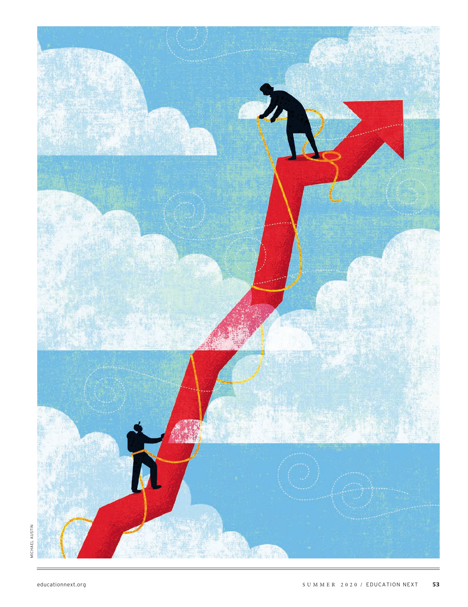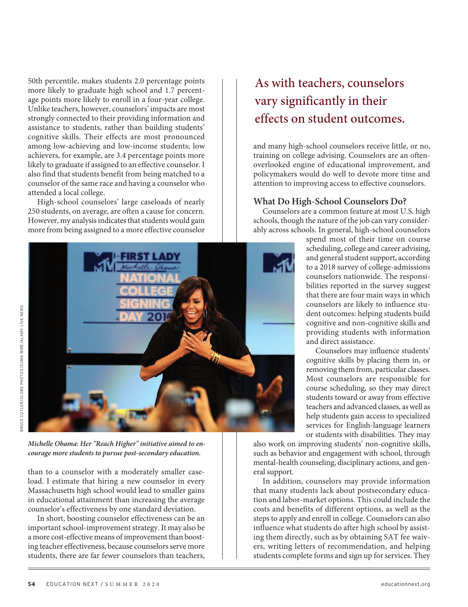50th percentile, makes students 2.0 percentage points more likely to graduate high school and 1.7 percentage points more likely to enroll in a four-year college. Unlike teachers, however, counselors' impacts are most strongly connected to their providing information and assistance to students, rather than building students' cognitive skills. Their effects are most pronounced among low-achieving and low-income students; low achievers, for example, are 3.4 percentage points more likely to graduate if assigned to an effective counselor. I also find that students benefit from being matched to a counselor of the same race and having a counselor who attended a local college.

High-school counselors' large caseloads of nearly 250 students, on average, are often a cause for concern. However, my analysis indicates that students would gain more from being assigned to a more effective counselor



*Michelle Obama: Her "Reach Higher" initiative aimed to encourage more students to pursue post-secondary education.* 

than to a counselor with a moderately smaller caseload. I estimate that hiring a new counselor in every Massachusetts high school would lead to smaller gains in educational attainment than increasing the average counselor's effectiveness by one standard deviation.

In short, boosting counselor effectiveness can be an important school-improvement strategy. It may also be a more cost-effective means of improvement than boosting teacher effectiveness, because counselors serve more students, there are far fewer counselors than teachers,

# As with teachers, counselors vary significantly in their effects on student outcomes.

and many high-school counselors receive little, or no, training on college advising. Counselors are an oftenoverlooked engine of educational improvement, and policymakers would do well to devote more time and attention to improving access to effective counselors.

## **What Do High-School Counselors Do?**

Counselors are a common feature at most U.S. high schools, though the nature of the job can vary considerably across schools. In general, high-school counselors

> spend most of their time on course scheduling, college and career advising, and general student support, according to a 2018 survey of college-admissions counselors nationwide. The responsibilities reported in the survey suggest that there are four main ways in which counselors are likely to influence student outcomes: helping students build cognitive and non-cognitive skills and providing students with information and direct assistance.

> Counselors may influence students' cognitive skills by placing them in, or removing them from, particular classes. Most counselors are responsible for course scheduling, so they may direct students toward or away from effective teachers and advanced classes, as well as help students gain access to specialized services for English-language learners or students with disabilities. They may

also work on improving students' non-cognitive skills, such as behavior and engagement with school, through mental-health counseling, disciplinary actions, and general support.

In addition, counselors may provide information that many students lack about postsecondary education and labor-market options. This could include the costs and benefits of different options, as well as the steps to apply and enroll in college. Counselors can also influence what students do after high school by assisting them directly, such as by obtaining SAT fee waivers, writing letters of recommendation, and helping students complete forms and sign up for services. They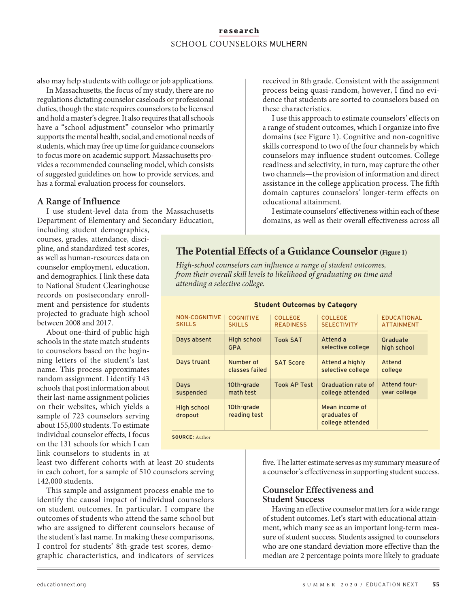# **research** SCHOOL COUNSELORS MULHERN

also may help students with college or job applications.

In Massachusetts, the focus of my study, there are no regulations dictating counselor caseloads or professional duties, though the state requires counselors to be licensed and hold a master's degree. It also requires that all schools have a "school adjustment" counselor who primarily supports the mental health, social, and emotional needs of students, which may free up time for guidance counselors to focus more on academic support. Massachusetts provides a recommended counseling model, which consists of suggested guidelines on how to provide services, and has a formal evaluation process for counselors.

## **A Range of Influence**

I use student-level data from the Massachusetts Department of Elementary and Secondary Education,

including student demographics, courses, grades, attendance, discipline, and standardized-test scores, as well as human-resources data on counselor employment, education, and demographics. I link these data to National Student Clearinghouse records on postsecondary enrollment and persistence for students projected to graduate high school between 2008 and 2017.

About one-third of public high schools in the state match students to counselors based on the beginning letters of the student's last name. This process approximates random assignment. I identify 143 schools that post information about their last-name assignment policies on their websites, which yields a sample of 723 counselors serving about 155,000 students. To estimate individual counselor effects, I focus on the 131 schools for which I can link counselors to students in at

least two different cohorts with at least 20 students in each cohort, for a sample of 510 counselors serving 142,000 students.

This sample and assignment process enable me to identify the causal impact of individual counselors on student outcomes. In particular, I compare the outcomes of students who attend the same school but who are assigned to different counselors because of the student's last name. In making these comparisons, I control for students' 8th-grade test scores, demographic characteristics, and indicators of services

received in 8th grade. Consistent with the assignment process being quasi-random, however, I find no evidence that students are sorted to counselors based on these characteristics.

I use this approach to estimate counselors' effects on a range of student outcomes, which I organize into five domains (see Figure 1). Cognitive and non-cognitive skills correspond to two of the four channels by which counselors may influence student outcomes. College readiness and selectivity, in turn, may capture the other two channels—the provision of information and direct assistance in the college application process. The fifth domain captures counselors' longer-term effects on educational attainment.

I estimate counselors' effectiveness within each of these domains, as well as their overall effectiveness across all

# **The Potential Effects of a Guidance Counselor (Figure 1)**

*High-school counselors can influence a range of student outcomes, from their overall skill levels to likelihood of graduating on time and attending a selective college.*

| <b>COGNITIVE</b>           | <b>COLLEGE</b>      | <b>COLLEGE</b>                                     | <b>EDUCATIONAL</b> |
|----------------------------|---------------------|----------------------------------------------------|--------------------|
| <b>SKILLS</b>              | <b>READINESS</b>    | <b>SELECTIVITY</b>                                 | <b>ATTAINMENT</b>  |
| <b>High school</b>         | <b>Took SAT</b>     | Attend a                                           | Graduate           |
| <b>GPA</b>                 |                     | selective college                                  | high school        |
| Number of                  | <b>SAT Score</b>    | Attend a highly                                    | Attend             |
| classes failed             |                     | selective college                                  | college            |
| 10th-grade                 | <b>Took AP Test</b> | Graduation rate of                                 | Attend four-       |
| math test                  |                     | college attended                                   | year college       |
| 10th-grade<br>reading test |                     | Mean income of<br>graduates of<br>college attended |                    |
|                            |                     |                                                    |                    |

#### **Student Outcomes by Category**

five. The latter estimate serves as my summary measure of a counselor's effectiveness in supporting student success.

# **Counselor Effectiveness and Student Success**

Having an effective counselor matters for a wide range of student outcomes. Let's start with educational attainment, which many see as an important long-term measure of student success. Students assigned to counselors who are one standard deviation more effective than the median are 2 percentage points more likely to graduate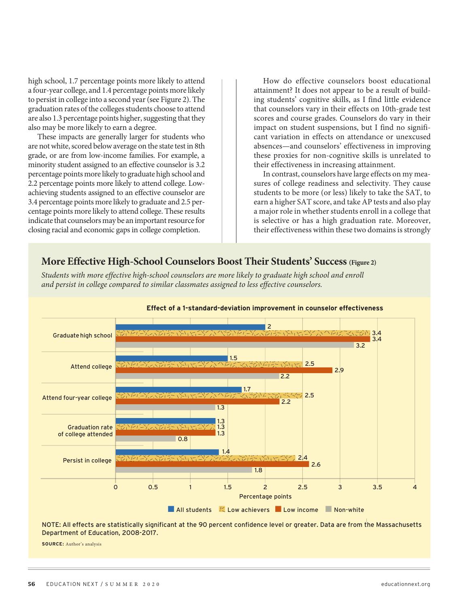high school, 1.7 percentage points more likely to attend a four-year college, and 1.4 percentage points more likely to persist in college into a second year (see Figure 2). The graduation rates of the colleges students choose to attend are also 1.3 percentage points higher, suggesting that they also may be more likely to earn a degree.

These impacts are generally larger for students who are not white, scored below average on the state test in 8th grade, or are from low-income families. For example, a minority student assigned to an effective counselor is 3.2 percentage points more likely to graduate high school and 2.2 percentage points more likely to attend college. Lowachieving students assigned to an effective counselor are 3.4 percentage points more likely to graduate and 2.5 percentage points more likely to attend college. These results indicate that counselors may be an important resource for closing racial and economic gaps in college completion.

How do effective counselors boost educational attainment? It does not appear to be a result of building students' cognitive skills, as I find little evidence that counselors vary in their effects on 10th-grade test scores and course grades. Counselors do vary in their impact on student suspensions, but I find no significant variation in effects on attendance or unexcused absences—and counselors' effectiveness in improving these proxies for non-cognitive skills is unrelated to their effectiveness in increasing attainment.

In contrast, counselors have large effects on my measures of college readiness and selectivity. They cause students to be more (or less) likely to take the SAT, to earn a higher SAT score, and take AP tests and also play a major role in whether students enroll in a college that is selective or has a high graduation rate. Moreover, their effectiveness within these two domains is strongly

# **More Effective High-School Counselors Boost Their Students' Success (Figure 2)**

*Students with more effective high-school counselors are more likely to graduate high school and enroll and persist in college compared to similar classmates assigned to less effective counselors.*



#### **Effect of a 1-standard-deviation improvement in counselor effectiveness**

NOTE: All effects are statistically significant at the 90 percent confidence level or greater. Data are from the Massachusetts Department of Education, 2008-2017.

**SOURCE:** Author's analysis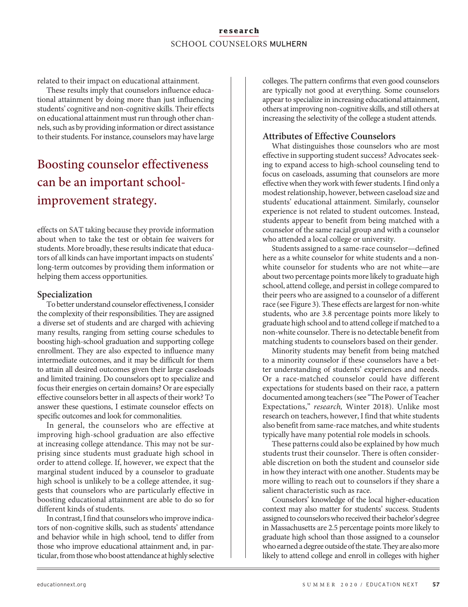# **research** SCHOOL COUNSELORS MULHERN

related to their impact on educational attainment.

These results imply that counselors influence educational attainment by doing more than just influencing students' cognitive and non-cognitive skills. Their effects on educational attainment must run through other channels, such as by providing information or direct assistance to their students. For instance, counselors may have large

# Boosting counselor effectiveness can be an important schoolimprovement strategy.

effects on SAT taking because they provide information about when to take the test or obtain fee waivers for students. More broadly, these results indicate that educators of all kinds can have important impacts on students' long-term outcomes by providing them information or helping them access opportunities.

## **Specialization**

To better understand counselor effectiveness, I consider the complexity of their responsibilities. They are assigned a diverse set of students and are charged with achieving many results, ranging from setting course schedules to boosting high-school graduation and supporting college enrollment. They are also expected to influence many intermediate outcomes, and it may be difficult for them to attain all desired outcomes given their large caseloads and limited training. Do counselors opt to specialize and focus their energies on certain domains? Or are especially effective counselors better in all aspects of their work? To answer these questions, I estimate counselor effects on specific outcomes and look for commonalities.

In general, the counselors who are effective at improving high-school graduation are also effective at increasing college attendance. This may not be surprising since students must graduate high school in order to attend college. If, however, we expect that the marginal student induced by a counselor to graduate high school is unlikely to be a college attendee, it suggests that counselors who are particularly effective in boosting educational attainment are able to do so for different kinds of students.

In contrast, I find that counselors who improve indicators of non-cognitive skills, such as students' attendance and behavior while in high school, tend to differ from those who improve educational attainment and, in particular, from those who boost attendance at highly selective colleges. The pattern confirms that even good counselors are typically not good at everything. Some counselors appear to specialize in increasing educational attainment, others at improving non-cognitive skills, and still others at increasing the selectivity of the college a student attends.

# **Attributes of Effective Counselors**

What distinguishes those counselors who are most effective in supporting student success? Advocates seeking to expand access to high-school counseling tend to focus on caseloads, assuming that counselors are more effective when they work with fewer students. I find only a modest relationship, however, between caseload size and students' educational attainment. Similarly, counselor experience is not related to student outcomes. Instead, students appear to benefit from being matched with a counselor of the same racial group and with a counselor who attended a local college or university.

Students assigned to a same-race counselor—defined here as a white counselor for white students and a nonwhite counselor for students who are not white—are about two percentage points more likely to graduate high school, attend college, and persist in college compared to their peers who are assigned to a counselor of a different race (see Figure 3). These effects are largest for non-white students, who are 3.8 percentage points more likely to graduate high school and to attend college if matched to a non-white counselor. There is no detectable benefit from matching students to counselors based on their gender.

Minority students may benefit from being matched to a minority counselor if these counselors have a better understanding of students' experiences and needs. Or a race-matched counselor could have different expectations for students based on their race, a pattern documented among teachers (see "The Power of Teacher Expectations," *research,* Winter 2018). Unlike most research on teachers, however, I find that white students also benefit from same-race matches, and white students typically have many potential role models in schools.

These patterns could also be explained by how much students trust their counselor. There is often considerable discretion on both the student and counselor side in how they interact with one another. Students may be more willing to reach out to counselors if they share a salient characteristic such as race.

Counselors' knowledge of the local higher-education context may also matter for students' success. Students assigned to counselors who received their bachelor's degree in Massachusetts are 2.5 percentage points more likely to graduate high school than those assigned to a counselor who earned a degree outside of the state. They are also more likely to attend college and enroll in colleges with higher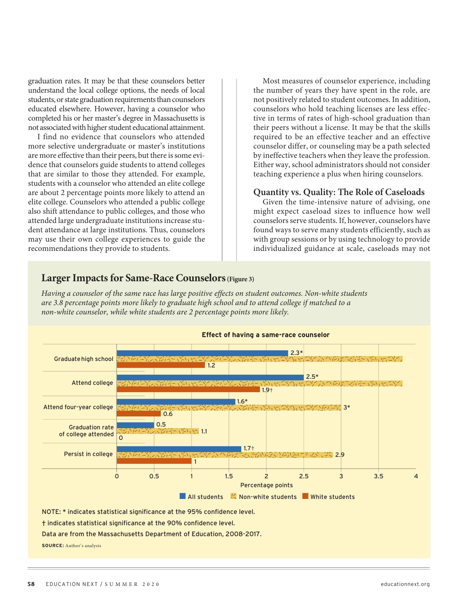graduation rates. It may be that these counselors better understand the local college options, the needs of local students, or state graduation requirements than counselors educated elsewhere. However, having a counselor who completed his or her master's degree in Massachusetts is not associated with higher student educational attainment.

I find no evidence that counselors who attended more selective undergraduate or master's institutions are more effective than their peers, but there is some evidence that counselors guide students to attend colleges that are similar to those they attended. For example, students with a counselor who attended an elite college are about 2 percentage points more likely to attend an elite college. Counselors who attended a public college also shift attendance to public colleges, and those who attended large undergraduate institutions increase student attendance at large institutions. Thus, counselors may use their own college experiences to guide the recommendations they provide to students.

Most measures of counselor experience, including the number of years they have spent in the role, are not positively related to student outcomes. In addition, counselors who hold teaching licenses are less effective in terms of rates of high-school graduation than their peers without a license. It may be that the skills required to be an effective teacher and an effective counselor differ, or counseling may be a path selected by ineffective teachers when they leave the profession. Either way, school administrators should not consider teaching experience a plus when hiring counselors.

## **Quantity vs. Quality: The Role of Caseloads**

Given the time-intensive nature of advising, one might expect caseload sizes to influence how well counselors serve students. If, however, counselors have found ways to serve many students efficiently, such as with group sessions or by using technology to provide individualized guidance at scale, caseloads may not



Data are from the Massachusetts Department of Education, 2008-2017.

**SOURCE:** Author's analysis